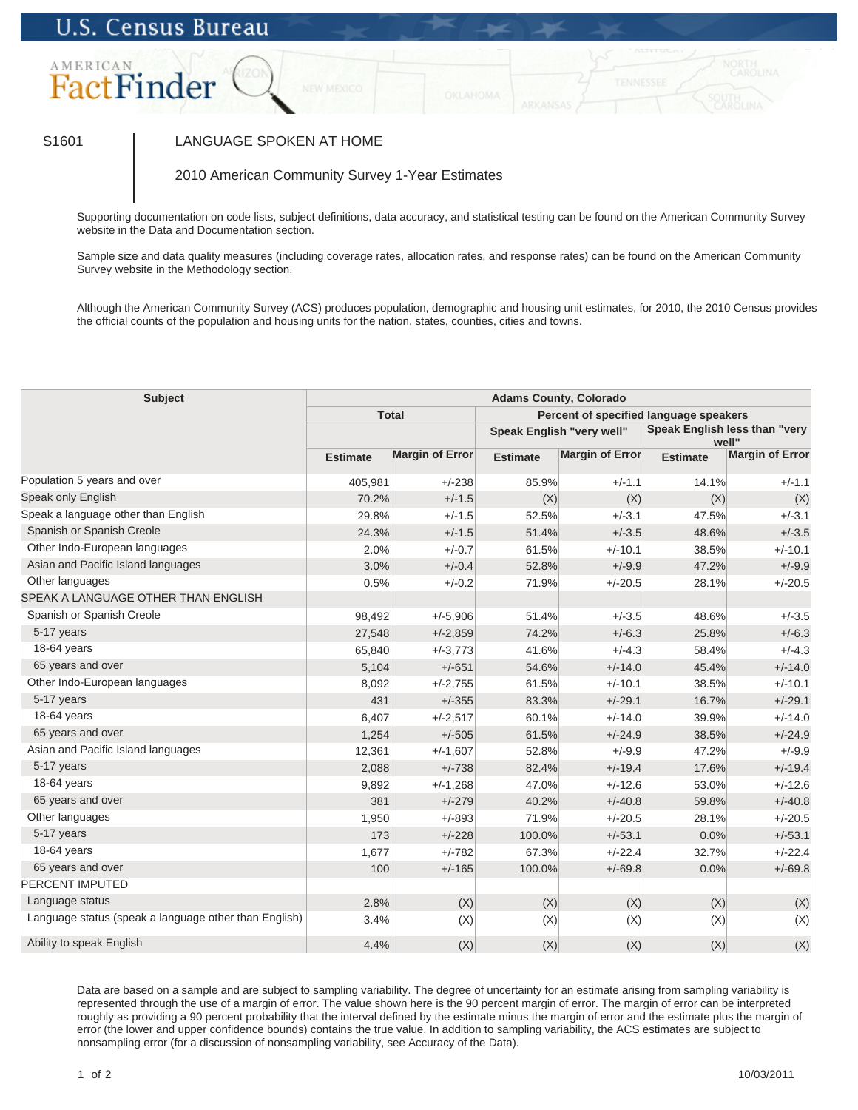## U.S. Census Bureau



## S1601 | LANGUAGE SPOKEN AT HOME

2010 American Community Survey 1-Year Estimates

Supporting documentation on code lists, subject definitions, data accuracy, and statistical testing can be found on the American Community Survey website in the Data and Documentation section.

Sample size and data quality measures (including coverage rates, allocation rates, and response rates) can be found on the American Community Survey website in the Methodology section.

Although the American Community Survey (ACS) produces population, demographic and housing unit estimates, for 2010, the 2010 Census provides the official counts of the population and housing units for the nation, states, counties, cities and towns.

| <b>Subject</b>                                        | <b>Adams County, Colorado</b> |                        |                                        |                 |                                        |                        |
|-------------------------------------------------------|-------------------------------|------------------------|----------------------------------------|-----------------|----------------------------------------|------------------------|
|                                                       | <b>Total</b>                  |                        | Percent of specified language speakers |                 |                                        |                        |
|                                                       |                               |                        | Speak English "very well"              |                 | Speak English less than "very<br>well" |                        |
|                                                       | <b>Estimate</b>               | <b>Margin of Error</b> | <b>Estimate</b>                        | Margin of Error | <b>Estimate</b>                        | <b>Margin of Error</b> |
| Population 5 years and over                           | 405,981                       | $+/-238$               | 85.9%                                  | $+/-1.1$        | 14.1%                                  | $+/-1.1$               |
| Speak only English                                    | 70.2%                         | $+/-1.5$               | (X)                                    | (X)             | (X)                                    | (X)                    |
| Speak a language other than English                   | 29.8%                         | $+/-1.5$               | 52.5%                                  | $+/-3.1$        | 47.5%                                  | $+/-3.1$               |
| Spanish or Spanish Creole                             | 24.3%                         | $+/-1.5$               | 51.4%                                  | $+/-3.5$        | 48.6%                                  | $+/-3.5$               |
| Other Indo-European languages                         | 2.0%                          | $+/-0.7$               | 61.5%                                  | $+/-10.1$       | 38.5%                                  | $+/-10.1$              |
| Asian and Pacific Island languages                    | 3.0%                          | $+/-0.4$               | 52.8%                                  | $+/-9.9$        | 47.2%                                  | $+/-9.9$               |
| Other languages                                       | 0.5%                          | $+/-0.2$               | 71.9%                                  | $+/-20.5$       | 28.1%                                  | $+/-20.5$              |
| SPEAK A LANGUAGE OTHER THAN ENGLISH                   |                               |                        |                                        |                 |                                        |                        |
| Spanish or Spanish Creole                             | 98,492                        | $+/-5,906$             | 51.4%                                  | $+/-3.5$        | 48.6%                                  | $+/-3.5$               |
| 5-17 years                                            | 27,548                        | $+/-2,859$             | 74.2%                                  | $+/-6.3$        | 25.8%                                  | $+/-6.3$               |
| 18-64 years                                           | 65,840                        | $+/-3,773$             | 41.6%                                  | $+/-4.3$        | 58.4%                                  | $+/-4.3$               |
| 65 years and over                                     | 5,104                         | $+/-651$               | 54.6%                                  | $+/-14.0$       | 45.4%                                  | $+/-14.0$              |
| Other Indo-European languages                         | 8,092                         | $+/-2,755$             | 61.5%                                  | $+/-10.1$       | 38.5%                                  | $+/-10.1$              |
| 5-17 years                                            | 431                           | $+/-355$               | 83.3%                                  | $+/-29.1$       | 16.7%                                  | $+/-29.1$              |
| 18-64 years                                           | 6,407                         | $+/-2,517$             | 60.1%                                  | $+/-14.0$       | 39.9%                                  | $+/-14.0$              |
| 65 years and over                                     | 1,254                         | $+/-505$               | 61.5%                                  | $+/-24.9$       | 38.5%                                  | $+/-24.9$              |
| Asian and Pacific Island languages                    | 12,361                        | $+/-1,607$             | 52.8%                                  | $+/-9.9$        | 47.2%                                  | $+/-9.9$               |
| 5-17 years                                            | 2,088                         | $+/-738$               | 82.4%                                  | $+/-19.4$       | 17.6%                                  | $+/-19.4$              |
| 18-64 years                                           | 9,892                         | $+/-1,268$             | 47.0%                                  | $+/-12.6$       | 53.0%                                  | $+/-12.6$              |
| 65 years and over                                     | 381                           | $+/-279$               | 40.2%                                  | $+/-40.8$       | 59.8%                                  | $+/-40.8$              |
| Other languages                                       | 1,950                         | $+/-893$               | 71.9%                                  | $+/-20.5$       | 28.1%                                  | $+/-20.5$              |
| 5-17 years                                            | 173                           | $+/-228$               | 100.0%                                 | $+/-53.1$       | 0.0%                                   | $+/-53.1$              |
| 18-64 years                                           | 1,677                         | $+/-782$               | 67.3%                                  | $+/-22.4$       | 32.7%                                  | $+/-22.4$              |
| 65 years and over                                     | 100                           | $+/-165$               | 100.0%                                 | $+/-69.8$       | 0.0%                                   | $+/-69.8$              |
| <b>PERCENT IMPUTED</b>                                |                               |                        |                                        |                 |                                        |                        |
| Language status                                       | 2.8%                          | (X)                    | (X)                                    | (X)             | (X)                                    | (X)                    |
| Language status (speak a language other than English) | 3.4%                          | (X)                    | (X)                                    | (X)             | (X)                                    | (X)                    |
| Ability to speak English                              | 4.4%                          | (X)                    | (X)                                    | (X)             | (X)                                    | (X)                    |

Data are based on a sample and are subject to sampling variability. The degree of uncertainty for an estimate arising from sampling variability is represented through the use of a margin of error. The value shown here is the 90 percent margin of error. The margin of error can be interpreted roughly as providing a 90 percent probability that the interval defined by the estimate minus the margin of error and the estimate plus the margin of error (the lower and upper confidence bounds) contains the true value. In addition to sampling variability, the ACS estimates are subject to nonsampling error (for a discussion of nonsampling variability, see Accuracy of the Data).